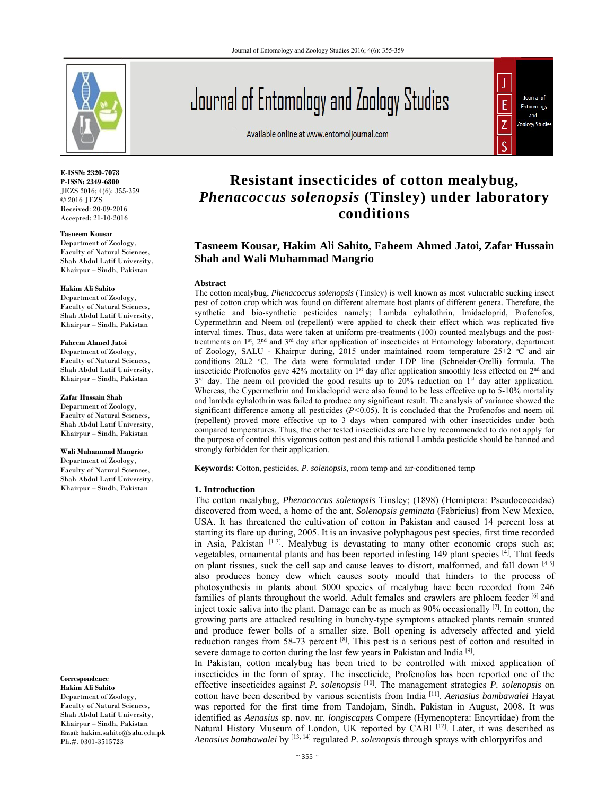

**E-ISSN: 2320-7078 P-ISSN: 2349-6800** JEZS 2016; 4(6): 355-359 © 2016 JEZS Received: 20-09-2016 Accepted: 21-10-2016

**Tasneem Kousar**  Department of Zoology, Faculty of Natural Sciences, Shah Abdul Latif University, Khairpur – Sindh, Pakistan

#### **Hakim Ali Sahito**

Department of Zoology, Faculty of Natural Sciences, Shah Abdul Latif University, Khairpur – Sindh, Pakistan

#### **Faheem Ahmed Jatoi**

Department of Zoology, Faculty of Natural Sciences, Shah Abdul Latif University, Khairpur – Sindh, Pakistan

**Zafar Hussain Shah**  Department of Zoology, Faculty of Natural Sciences, Shah Abdul Latif University, Khairpur – Sindh, Pakistan

# **Wali Muhammad Mangrio**

Department of Zoology, Faculty of Natural Sciences, Shah Abdul Latif University, Khairpur – Sindh, Pakistan

#### **Correspondence**

**Hakim Ali Sahito**  Department of Zoology, Faculty of Natural Sciences, Shah Abdul Latif University, Khairpur – Sindh, Pakistan Email: hakim.sahito@salu.edu.pk Ph.#. 0301-3515723

# Journal of Entomology and Zoology Studies

Available online at www.entomoljournal.com



# **Resistant insecticides of cotton mealybug,**  *Phenacoccus solenopsis* **(Tinsley) under laboratory conditions**

# **Tasneem Kousar, Hakim Ali Sahito, Faheem Ahmed Jatoi, Zafar Hussain Shah and Wali Muhammad Mangrio**

#### **Abstract**

The cotton mealybug, *Phenacoccus solenopsis* (Tinsley) is well known as most vulnerable sucking insect pest of cotton crop which was found on different alternate host plants of different genera. Therefore, the synthetic and bio-synthetic pesticides namely; Lambda cyhalothrin, Imidacloprid, Profenofos, Cypermethrin and Neem oil (repellent) were applied to check their effect which was replicated five interval times. Thus, data were taken at uniform pre-treatments (100) counted mealybugs and the posttreatments on  $1<sup>st</sup>$ ,  $2<sup>nd</sup>$  and  $3<sup>rd</sup>$  day after application of insecticides at Entomology laboratory, department of Zoology, SALU - Khairpur during, 2015 under maintained room temperature 25±2 oC and air conditions  $20\pm2$  °C. The data were formulated under LDP line (Schneider-Orelli) formula. The insecticide Profenofos gave 42% mortality on 1<sup>st</sup> day after application smoothly less effected on 2<sup>nd</sup> and  $3^{rd}$  day. The neem oil provided the good results up to 20% reduction on 1<sup>st</sup> day after application. Whereas, the Cypermethrin and Imidacloprid were also found to be less effective up to 5-10% mortality and lambda cyhalothrin was failed to produce any significant result. The analysis of variance showed the significant difference among all pesticides (*P<*0.05). It is concluded that the Profenofos and neem oil (repellent) proved more effective up to 3 days when compared with other insecticides under both compared temperatures. Thus, the other tested insecticides are here by recommended to do not apply for the purpose of control this vigorous cotton pest and this rational Lambda pesticide should be banned and strongly forbidden for their application.

**Keywords:** Cotton, pesticides, *P. solenopsis*, room temp and air-conditioned temp

#### **1. Introduction**

The cotton mealybug, *Phenacoccus solenopsis* Tinsley; (1898) (Hemiptera: Pseudococcidae) discovered from weed, a home of the ant, *Solenopsis geminata* (Fabricius) from New Mexico, USA. It has threatened the cultivation of cotton in Pakistan and caused 14 percent loss at starting its flare up during, 2005. It is an invasive polyphagous pest species, first time recorded in Asia, Pakistan  $[1-3]$ . Mealybug is devastating to many other economic crops such as; vegetables, ornamental plants and has been reported infesting 149 plant species [4]. That feeds on plant tissues, suck the cell sap and cause leaves to distort, malformed, and fall down  $[4-5]$ also produces honey dew which causes sooty mould that hinders to the process of photosynthesis in plants about 5000 species of mealybug have been recorded from 246 families of plants throughout the world. Adult females and crawlers are phloem feeder  $[6]$  and inject toxic saliva into the plant. Damage can be as much as 90% occasionally <sup>[7]</sup>. In cotton, the growing parts are attacked resulting in bunchy-type symptoms attacked plants remain stunted and produce fewer bolls of a smaller size. Boll opening is adversely affected and yield reduction ranges from 58-73 percent <sup>[8]</sup>. This pest is a serious pest of cotton and resulted in severe damage to cotton during the last few years in Pakistan and India<sup>[9]</sup>.

In Pakistan, cotton mealybug has been tried to be controlled with mixed application of insecticides in the form of spray. The insecticide, Profenofos has been reported one of the effective insecticides against *P. solenopsis* [10]. The management strategies *P. solenopsis* on cotton have been described by various scientists from India [11]. *Aenasius bambawalei* Hayat was reported for the first time from Tandojam, Sindh, Pakistan in August, 2008. It was identified as *Aenasius* sp. nov. nr. *longiscapus* Compere (Hymenoptera: Encyrtidae) from the Natural History Museum of London, UK reported by CABI [12]. Later, it was described as *Aenasius bambawalei* by [13, 14] regulated *P. solenopsis* through sprays with chlorpyrifos and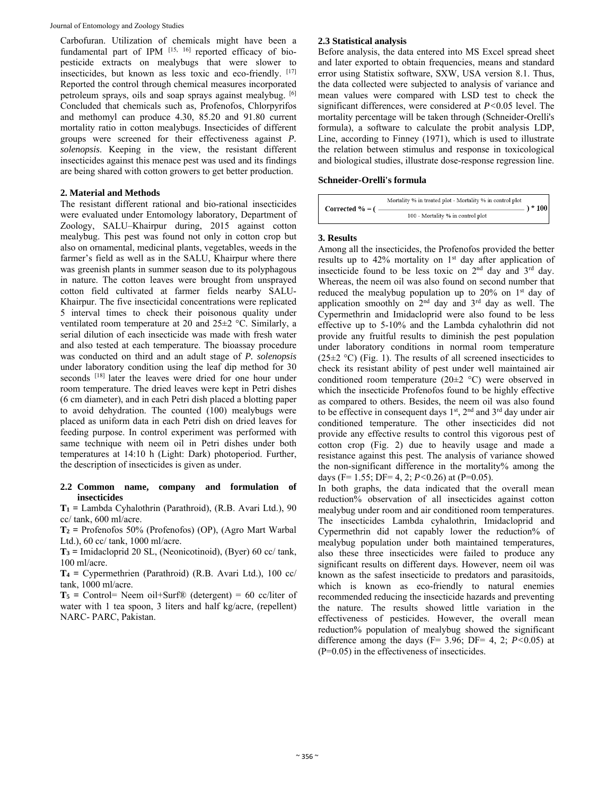Carbofuran. Utilization of chemicals might have been a fundamental part of IPM [15, 16] reported efficacy of biopesticide extracts on mealybugs that were slower to insecticides, but known as less toxic and eco-friendly. [17] Reported the control through chemical measures incorporated petroleum sprays, oils and soap sprays against mealybug. [6] Concluded that chemicals such as, Profenofos, Chlorpyrifos and methomyl can produce 4.30, 85.20 and 91.80 current mortality ratio in cotton mealybugs. Insecticides of different groups were screened for their effectiveness against *P. solenopsis*. Keeping in the view, the resistant different insecticides against this menace pest was used and its findings are being shared with cotton growers to get better production.

# **2. Material and Methods**

The resistant different rational and bio-rational insecticides were evaluated under Entomology laboratory, Department of Zoology, SALU–Khairpur during, 2015 against cotton mealybug. This pest was found not only in cotton crop but also on ornamental, medicinal plants, vegetables, weeds in the farmer's field as well as in the SALU, Khairpur where there was greenish plants in summer season due to its polyphagous in nature. The cotton leaves were brought from unsprayed cotton field cultivated at farmer fields nearby SALU-Khairpur. The five insecticidal concentrations were replicated 5 interval times to check their poisonous quality under ventilated room temperature at 20 and 25±2 °C. Similarly, a serial dilution of each insecticide was made with fresh water and also tested at each temperature. The bioassay procedure was conducted on third and an adult stage of *P. solenopsis* under laboratory condition using the leaf dip method for 30 seconds [18] later the leaves were dried for one hour under room temperature. The dried leaves were kept in Petri dishes (6 cm diameter), and in each Petri dish placed a blotting paper to avoid dehydration. The counted (100) mealybugs were placed as uniform data in each Petri dish on dried leaves for feeding purpose. In control experiment was performed with same technique with neem oil in Petri dishes under both temperatures at 14:10 h (Light: Dark) photoperiod. Further, the description of insecticides is given as under.

# **2.2 Common name, company and formulation of insecticides**

**T1 =** Lambda Cyhalothrin (Parathroid), (R.B. Avari Ltd.), 90 cc/ tank, 600 ml/acre.

**T2 =** Profenofos 50% (Profenofos) (OP), (Agro Mart Warbal Ltd.), 60 cc/ tank, 1000 ml/acre.

**T3 =** Imidacloprid 20 SL, (Neonicotinoid), (Byer) 60 cc/ tank, 100 ml/acre.

**T4 =** Cypermethrien (Parathroid) (R.B. Avari Ltd.), 100 cc/ tank, 1000 ml/acre.

**T5 =** Control= Neem oil+Surf® (detergent) = 60 cc/liter of water with 1 tea spoon, 3 liters and half kg/acre, (repellent) NARC- PARC, Pakistan.

### **2.3 Statistical analysis**

Before analysis, the data entered into MS Excel spread sheet and later exported to obtain frequencies, means and standard error using Statistix software, SXW, USA version 8.1. Thus, the data collected were subjected to analysis of variance and mean values were compared with LSD test to check the significant differences, were considered at *P<*0.05 level. The mortality percentage will be taken through (Schneider-Orelli's formula), a software to calculate the probit analysis LDP, Line, according to Finney (1971), which is used to illustrate the relation between stimulus and response in toxicological and biological studies, illustrate dose-response regression line.

# **Schneider-Orelli's formula**

| Corrected $% = ($ | Mortality % in treated plot - Mortality % in control plot | $\lambda * 100$ |
|-------------------|-----------------------------------------------------------|-----------------|
|                   | 100 - Mortality % in control plot                         |                 |

# **3. Results**

Among all the insecticides, the Profenofos provided the better results up to 42% mortality on 1<sup>st</sup> day after application of insecticide found to be less toxic on  $2<sup>nd</sup>$  day and  $3<sup>rd</sup>$  day. Whereas, the neem oil was also found on second number that reduced the mealybug population up to  $20\%$  on  $1<sup>st</sup>$  day of application smoothly on 2nd day and 3rd day as well. The Cypermethrin and Imidacloprid were also found to be less effective up to 5-10% and the Lambda cyhalothrin did not provide any fruitful results to diminish the pest population under laboratory conditions in normal room temperature  $(25\pm2 \degree C)$  (Fig. 1). The results of all screened insecticides to check its resistant ability of pest under well maintained air conditioned room temperature (20±2 °C) were observed in which the insecticide Profenofos found to be highly effective as compared to others. Besides, the neem oil was also found to be effective in consequent days  $1<sup>st</sup>$ ,  $2<sup>nd</sup>$  and  $3<sup>rd</sup>$  day under air conditioned temperature. The other insecticides did not provide any effective results to control this vigorous pest of cotton crop (Fig. 2) due to heavily usage and made a resistance against this pest. The analysis of variance showed the non-significant difference in the mortality% among the days (F= 1.55; DF= 4, 2; *P<*0.26) at (P=0.05).

In both graphs, the data indicated that the overall mean reduction% observation of all insecticides against cotton mealybug under room and air conditioned room temperatures. The insecticides Lambda cyhalothrin, Imidacloprid and Cypermethrin did not capably lower the reduction% of mealybug population under both maintained temperatures, also these three insecticides were failed to produce any significant results on different days. However, neem oil was known as the safest insecticide to predators and parasitoids, which is known as eco-friendly to natural enemies recommended reducing the insecticide hazards and preventing the nature. The results showed little variation in the effectiveness of pesticides. However, the overall mean reduction% population of mealybug showed the significant difference among the days (F= 3.96; DF= 4, 2; *P<*0.05) at (P=0.05) in the effectiveness of insecticides.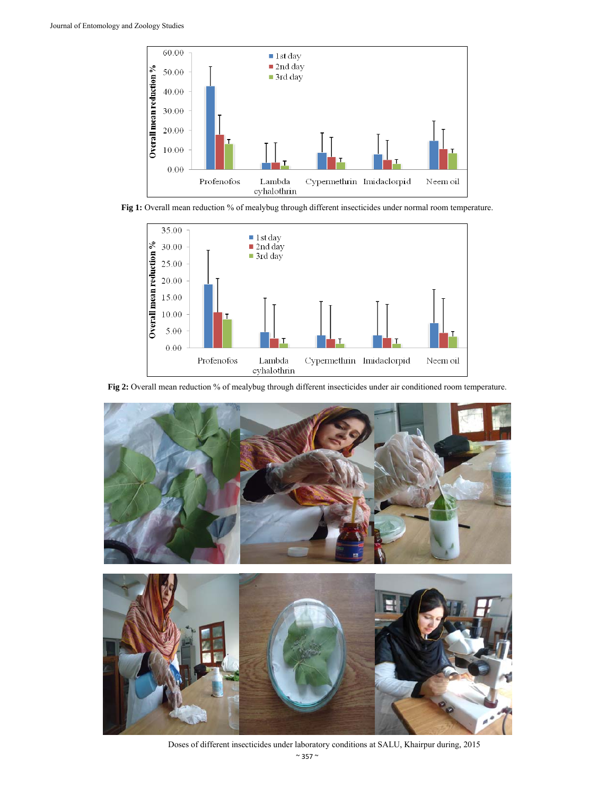

**Fig 1:** Overall mean reduction % of mealybug through different insecticides under normal room temperature.



**Fig 2:** Overall mean reduction % of mealybug through different insecticides under air conditioned room temperature.



 $\sim$  357  $\sim$ Doses of different insecticides under laboratory conditions at SALU, Khairpur during, 2015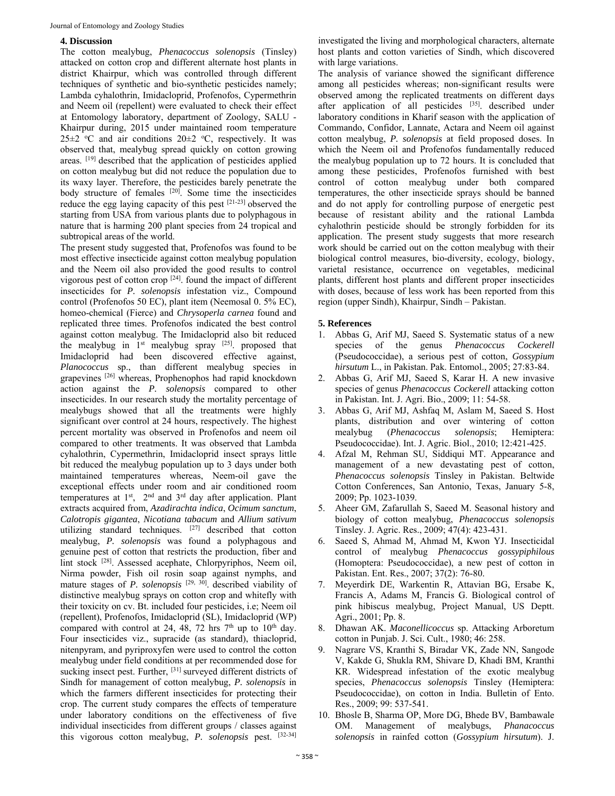#### **4. Discussion**

The cotton mealybug, *Phenacoccus solenopsis* (Tinsley) attacked on cotton crop and different alternate host plants in district Khairpur, which was controlled through different techniques of synthetic and bio-synthetic pesticides namely; Lambda cyhalothrin, Imidacloprid, Profenofos, Cypermethrin and Neem oil (repellent) were evaluated to check their effect at Entomology laboratory, department of Zoology, SALU - Khairpur during, 2015 under maintained room temperature 25 $\pm$ 2 °C and air conditions 20 $\pm$ 2 °C, respectively. It was observed that, mealybug spread quickly on cotton growing areas. [19] described that the application of pesticides applied on cotton mealybug but did not reduce the population due to its waxy layer. Therefore, the pesticides barely penetrate the body structure of females <sup>[20]</sup>. Some time the insecticides reduce the egg laying capacity of this pest [21-23] observed the starting from USA from various plants due to polyphagous in nature that is harming 200 plant species from 24 tropical and subtropical areas of the world.

The present study suggested that, Profenofos was found to be most effective insecticide against cotton mealybug population and the Neem oil also provided the good results to control vigorous pest of cotton crop [24]. found the impact of different insecticides for *P. solenopsis* infestation viz., Compound control (Profenofos 50 EC), plant item (Neemosal 0. 5% EC), homeo-chemical (Fierce) and *Chrysoperla carnea* found and replicated three times. Profenofos indicated the best control against cotton mealybug. The Imidacloprid also bit reduced the mealybug in 1st mealybug spray [25]. proposed that Imidacloprid had been discovered effective against, *Planococcus* sp., than different mealybug species in grapevines [26] whereas, Prophenophos had rapid knockdown action against the *P. solenopsis* compared to other insecticides. In our research study the mortality percentage of mealybugs showed that all the treatments were highly significant over control at 24 hours, respectively. The highest percent mortality was observed in Profenofos and neem oil compared to other treatments. It was observed that Lambda cyhalothrin, Cypermethrin, Imidacloprid insect sprays little bit reduced the mealybug population up to 3 days under both maintained temperatures whereas, Neem-oil gave the exceptional effects under room and air conditioned room temperatures at 1<sup>st</sup>, 2<sup>nd</sup> and 3<sup>rd</sup> day after application. Plant extracts acquired from, *Azadirachta indica*, *Ocimum sanctum*, *Calotropis gigantea*, *Nicotiana tabacum* and *Allium sativum* utilizing standard techniques. [27] described that cotton mealybug, *P. solenopsis* was found a polyphagous and genuine pest of cotton that restricts the production, fiber and lint stock [28]. Assessed acephate, Chlorpyriphos, Neem oil, Nirma powder, Fish oil rosin soap against nymphs, and mature stages of *P. solenopsis* [29, 30]. described viability of distinctive mealybug sprays on cotton crop and whitefly with their toxicity on cv. Bt. included four pesticides, i.e; Neem oil (repellent), Profenofos, Imidacloprid (SL), Imidacloprid (WP) compared with control at 24, 48, 72 hrs  $7<sup>th</sup>$  up to  $10<sup>th</sup>$  day. Four insecticides viz., supracide (as standard), thiacloprid, nitenpyram, and pyriproxyfen were used to control the cotton mealybug under field conditions at per recommended dose for sucking insect pest. Further, <sup>[31]</sup> surveyed different districts of Sindh for management of cotton mealybug, *P. solenopsis* in which the farmers different insecticides for protecting their crop. The current study compares the effects of temperature under laboratory conditions on the effectiveness of five individual insecticides from different groups / classes against this vigorous cotton mealybug, *P. solenopsis* pest. [32-34]

investigated the living and morphological characters, alternate host plants and cotton varieties of Sindh, which discovered with large variations.

The analysis of variance showed the significant difference among all pesticides whereas; non-significant results were observed among the replicated treatments on different days after application of all pesticides [35]. described under laboratory conditions in Kharif season with the application of Commando, Confidor, Lannate, Actara and Neem oil against cotton mealybug, *P. solenopsis* at field proposed doses. In which the Neem oil and Profenofos fundamentally reduced the mealybug population up to 72 hours. It is concluded that among these pesticides, Profenofos furnished with best control of cotton mealybug under both compared temperatures, the other insecticide sprays should be banned and do not apply for controlling purpose of energetic pest because of resistant ability and the rational Lambda cyhalothrin pesticide should be strongly forbidden for its application. The present study suggests that more research work should be carried out on the cotton mealybug with their biological control measures, bio-diversity, ecology, biology, varietal resistance, occurrence on vegetables, medicinal plants, different host plants and different proper insecticides with doses, because of less work has been reported from this region (upper Sindh), Khairpur, Sindh – Pakistan.

### **5. References**

- 1. Abbas G, Arif MJ, Saeed S. Systematic status of a new species of the genus *Phenacoccus Cockerell* (Pseudococcidae), a serious pest of cotton, *Gossypium hirsutum* L., in Pakistan. Pak. Entomol., 2005; 27:83-84.
- 2. Abbas G, Arif MJ, Saeed S, Karar H. A new invasive species of genus *Phenacoccus Cockerell* attacking cotton in Pakistan. Int. J. Agri. Bio., 2009; 11: 54-58.
- 3. Abbas G, Arif MJ, Ashfaq M, Aslam M, Saeed S. Host plants, distribution and over wintering of cotton mealybug (*Phenacoccus solenopsis*; Hemiptera: Pseudococcidae). Int. J. Agric. Biol., 2010; 12:421-425.
- 4. Afzal M, Rehman SU, Siddiqui MT. Appearance and management of a new devastating pest of cotton, *Phenacoccus solenopsis* Tinsley in Pakistan. Beltwide Cotton Conferences, San Antonio, Texas, January 5-8, 2009; Pp. 1023-1039.
- 5. Aheer GM, Zafarullah S, Saeed M. Seasonal history and biology of cotton mealybug, *Phenacoccus solenopsis*  Tinsley. J. Agric. Res., 2009; 47(4): 423-431.
- 6. Saeed S, Ahmad M, Ahmad M, Kwon YJ. Insecticidal control of mealybug *Phenacoccus gossypiphilous*  (Homoptera: Pseudococcidae), a new pest of cotton in Pakistan. Ent. Res., 2007; 37(2): 76-80.
- 7. Meyerdirk DE, Warkentin R, Attavian BG, Ersabe K, Francis A, Adams M, Francis G. Biological control of pink hibiscus mealybug, Project Manual, US Deptt. Agri., 2001; Pp. 8.
- 8. Dhawan AK. *Maconellicoccus* sp. Attacking Arboretum cotton in Punjab. J. Sci. Cult., 1980; 46: 258.
- 9. Nagrare VS, Kranthi S, Biradar VK, Zade NN, Sangode V, Kakde G, Shukla RM, Shivare D, Khadi BM, Kranthi KR. Widespread infestation of the exotic mealybug species, *Phenacoccus solenopsis* Tinsley (Hemiptera: Pseudococcidae), on cotton in India. Bulletin of Ento. Res., 2009; 99: 537-541.
- 10. Bhosle B, Sharma OP, More DG, Bhede BV, Bambawale OM. Management of mealybugs, *Phanacoccus solenopsis* in rainfed cotton (*Gossypium hirsutum*). J.